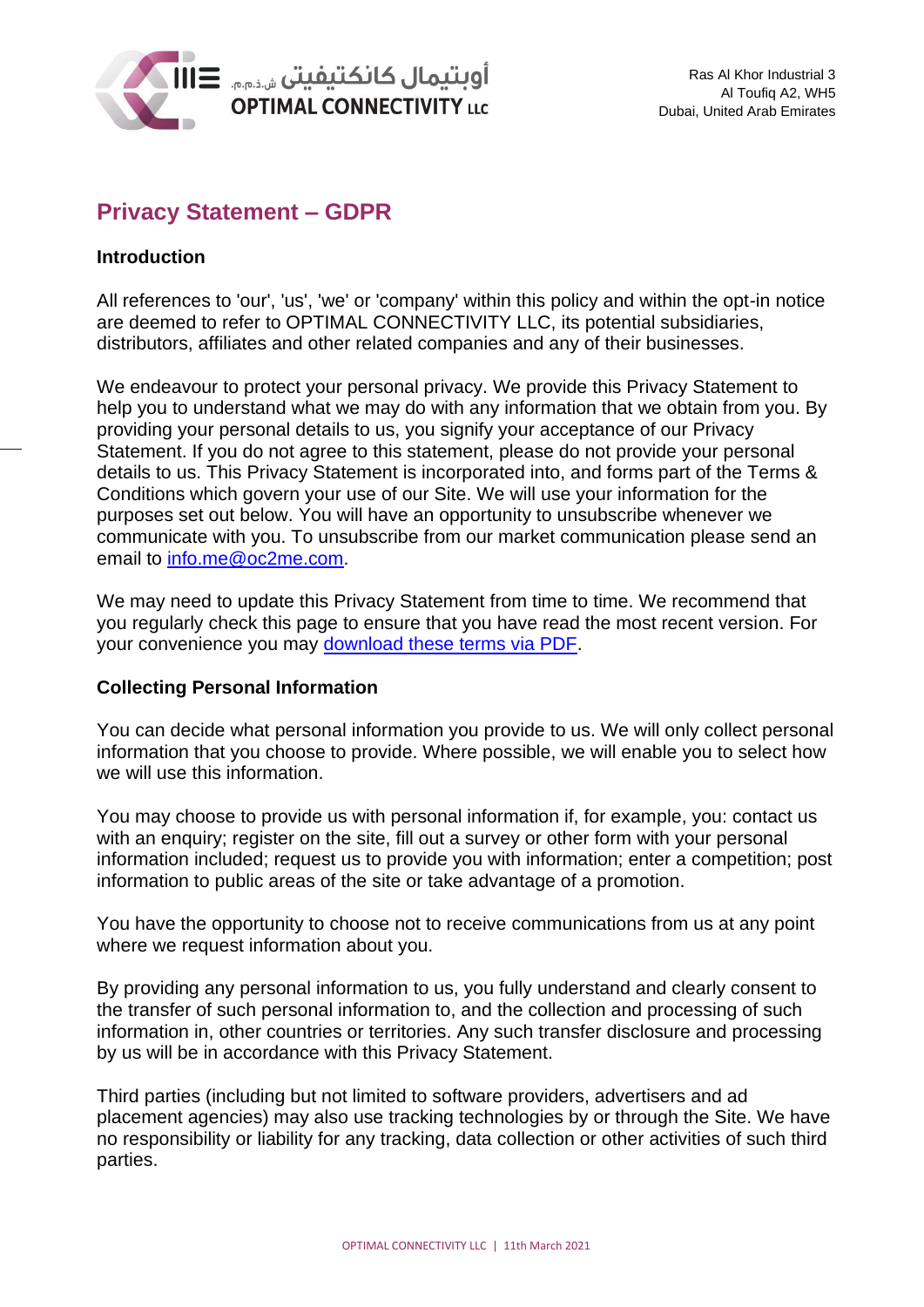

# **Privacy Statement – GDPR**

# **Introduction**

All references to 'our', 'us', 'we' or 'company' within this policy and within the opt-in notice are deemed to refer to OPTIMAL CONNECTIVITY LLC, its potential subsidiaries, distributors, affiliates and other related companies and any of their businesses.

We endeavour to protect your personal privacy. We provide this Privacy Statement to help you to understand what we may do with any information that we obtain from you. By providing your personal details to us, you signify your acceptance of our Privacy Statement. If you do not agree to this statement, please do not provide your personal details to us. This Privacy Statement is incorporated into, and forms part of the Terms & Conditions which govern your use of our Site. We will use your information for the purposes set out below. You will have an opportunity to unsubscribe whenever we communicate with you. To unsubscribe from our market communication please send an email to [info.me@oc2me.com.](mailto:info.me@oc2me.com)

We may need to update this Privacy Statement from time to time. We recommend that you regularly check this page to ensure that you have read the most recent version. For your convenience you may [download these terms via PDF.](http://vorl.t.oc2me.com/wp-content/uploads/2018/05/OC_Privacy_20052018.pdf)

# **Collecting Personal Information**

You can decide what personal information you provide to us. We will only collect personal information that you choose to provide. Where possible, we will enable you to select how we will use this information.

You may choose to provide us with personal information if, for example, you: contact us with an enquiry; register on the site, fill out a survey or other form with your personal information included; request us to provide you with information; enter a competition; post information to public areas of the site or take advantage of a promotion.

You have the opportunity to choose not to receive communications from us at any point where we request information about you.

By providing any personal information to us, you fully understand and clearly consent to the transfer of such personal information to, and the collection and processing of such information in, other countries or territories. Any such transfer disclosure and processing by us will be in accordance with this Privacy Statement.

Third parties (including but not limited to software providers, advertisers and ad placement agencies) may also use tracking technologies by or through the Site. We have no responsibility or liability for any tracking, data collection or other activities of such third parties.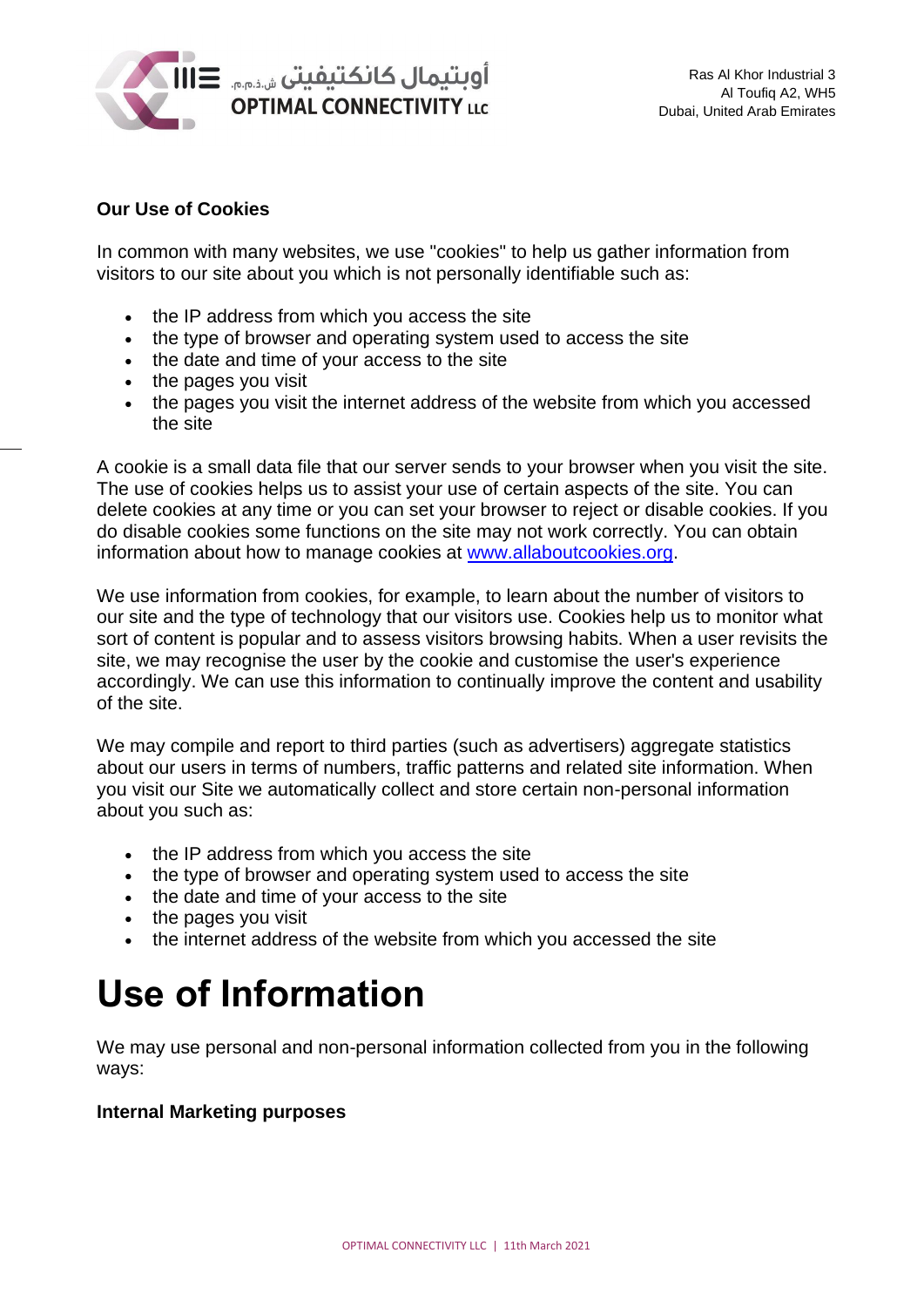

# **Our Use of Cookies**

In common with many websites, we use "cookies" to help us gather information from visitors to our site about you which is not personally identifiable such as:

- the IP address from which you access the site
- the type of browser and operating system used to access the site
- the date and time of your access to the site
- the pages you visit
- the pages you visit the internet address of the website from which you accessed the site

A cookie is a small data file that our server sends to your browser when you visit the site. The use of cookies helps us to assist your use of certain aspects of the site. You can delete cookies at any time or you can set your browser to reject or disable cookies. If you do disable cookies some functions on the site may not work correctly. You can obtain information about how to manage cookies at [www.allaboutcookies.org.](http://www.allaboutcookies.org/)

We use information from cookies, for example, to learn about the number of visitors to our site and the type of technology that our visitors use. Cookies help us to monitor what sort of content is popular and to assess visitors browsing habits. When a user revisits the site, we may recognise the user by the cookie and customise the user's experience accordingly. We can use this information to continually improve the content and usability of the site.

We may compile and report to third parties (such as advertisers) aggregate statistics about our users in terms of numbers, traffic patterns and related site information. When you visit our Site we automatically collect and store certain non-personal information about you such as:

- the IP address from which you access the site
- the type of browser and operating system used to access the site
- the date and time of your access to the site
- the pages you visit
- the internet address of the website from which you accessed the site

# **Use of Information**

We may use personal and non-personal information collected from you in the following ways:

#### **Internal Marketing purposes**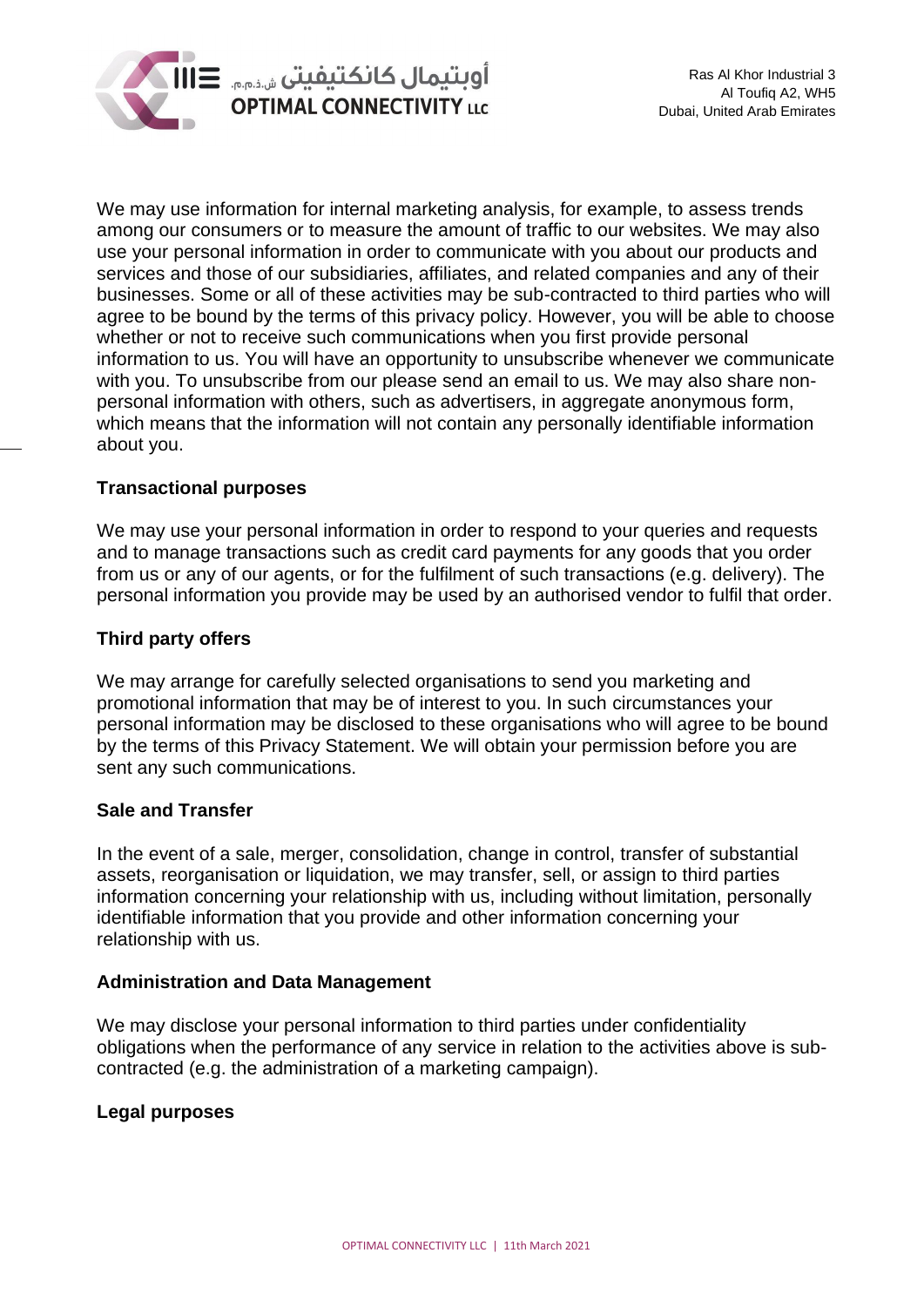

We may use information for internal marketing analysis, for example, to assess trends among our consumers or to measure the amount of traffic to our websites. We may also use your personal information in order to communicate with you about our products and services and those of our subsidiaries, affiliates, and related companies and any of their businesses. Some or all of these activities may be sub-contracted to third parties who will agree to be bound by the terms of this privacy policy. However, you will be able to choose whether or not to receive such communications when you first provide personal information to us. You will have an opportunity to unsubscribe whenever we communicate with you. To unsubscribe from our please send an email to us. We may also share nonpersonal information with others, such as advertisers, in aggregate anonymous form, which means that the information will not contain any personally identifiable information about you.

# **Transactional purposes**

We may use your personal information in order to respond to your queries and requests and to manage transactions such as credit card payments for any goods that you order from us or any of our agents, or for the fulfilment of such transactions (e.g. delivery). The personal information you provide may be used by an authorised vendor to fulfil that order.

# **Third party offers**

We may arrange for carefully selected organisations to send you marketing and promotional information that may be of interest to you. In such circumstances your personal information may be disclosed to these organisations who will agree to be bound by the terms of this Privacy Statement. We will obtain your permission before you are sent any such communications.

# **Sale and Transfer**

In the event of a sale, merger, consolidation, change in control, transfer of substantial assets, reorganisation or liquidation, we may transfer, sell, or assign to third parties information concerning your relationship with us, including without limitation, personally identifiable information that you provide and other information concerning your relationship with us.

#### **Administration and Data Management**

We may disclose your personal information to third parties under confidentiality obligations when the performance of any service in relation to the activities above is subcontracted (e.g. the administration of a marketing campaign).

# **Legal purposes**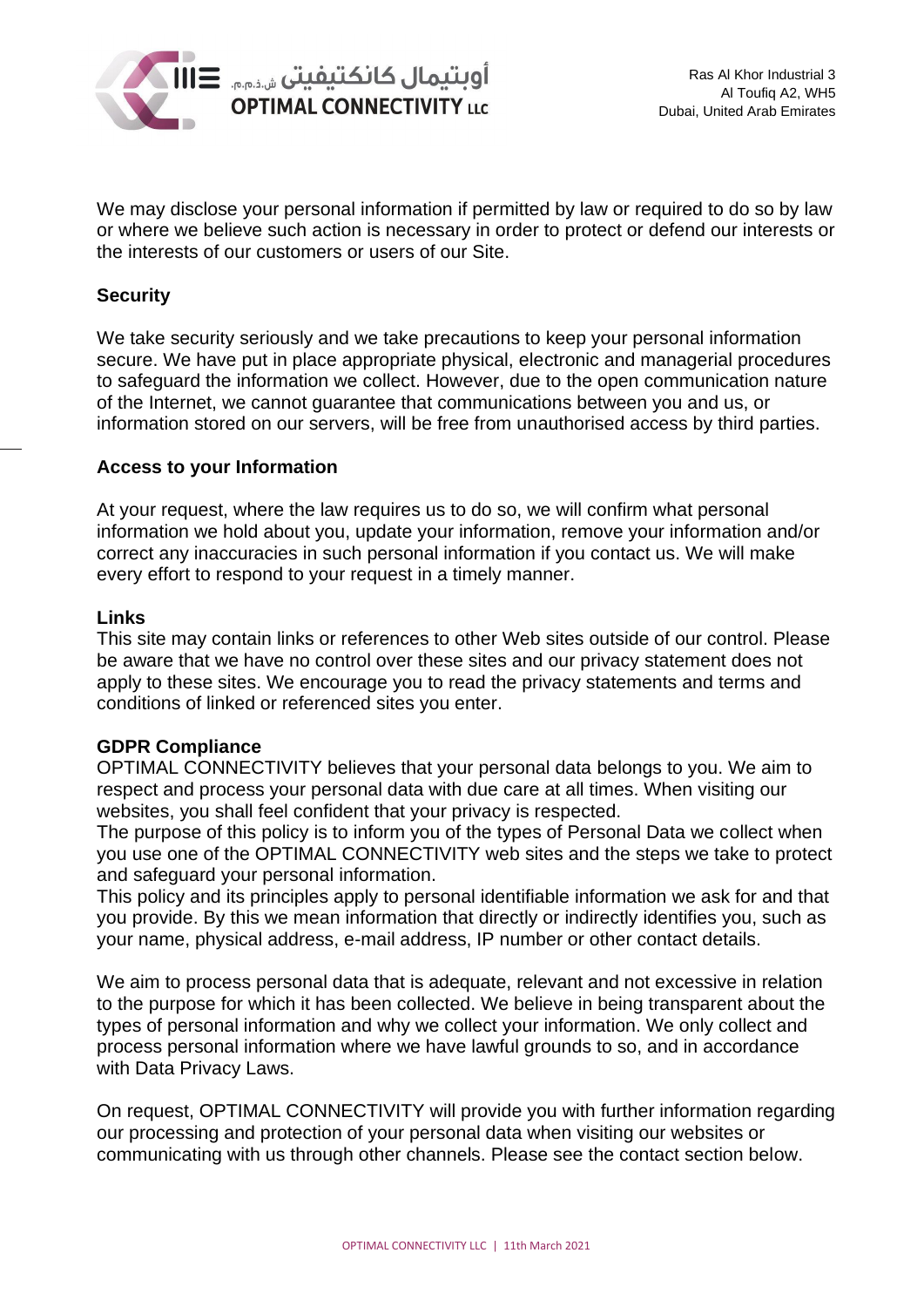

We may disclose your personal information if permitted by law or required to do so by law or where we believe such action is necessary in order to protect or defend our interests or the interests of our customers or users of our Site.

# **Security**

We take security seriously and we take precautions to keep your personal information secure. We have put in place appropriate physical, electronic and managerial procedures to safeguard the information we collect. However, due to the open communication nature of the Internet, we cannot guarantee that communications between you and us, or information stored on our servers, will be free from unauthorised access by third parties.

# **Access to your Information**

At your request, where the law requires us to do so, we will confirm what personal information we hold about you, update your information, remove your information and/or correct any inaccuracies in such personal information if you contact us. We will make every effort to respond to your request in a timely manner.

#### **Links**

This site may contain links or references to other Web sites outside of our control. Please be aware that we have no control over these sites and our privacy statement does not apply to these sites. We encourage you to read the privacy statements and terms and conditions of linked or referenced sites you enter.

# **GDPR Compliance**

OPTIMAL CONNECTIVITY believes that your personal data belongs to you. We aim to respect and process your personal data with due care at all times. When visiting our websites, you shall feel confident that your privacy is respected.

The purpose of this policy is to inform you of the types of Personal Data we collect when you use one of the OPTIMAL CONNECTIVITY web sites and the steps we take to protect and safeguard your personal information.

This policy and its principles apply to personal identifiable information we ask for and that you provide. By this we mean information that directly or indirectly identifies you, such as your name, physical address, e-mail address, IP number or other contact details.

We aim to process personal data that is adequate, relevant and not excessive in relation to the purpose for which it has been collected. We believe in being transparent about the types of personal information and why we collect your information. We only collect and process personal information where we have lawful grounds to so, and in accordance with Data Privacy Laws.

On request, OPTIMAL CONNECTIVITY will provide you with further information regarding our processing and protection of your personal data when visiting our websites or communicating with us through other channels. Please see the contact section below.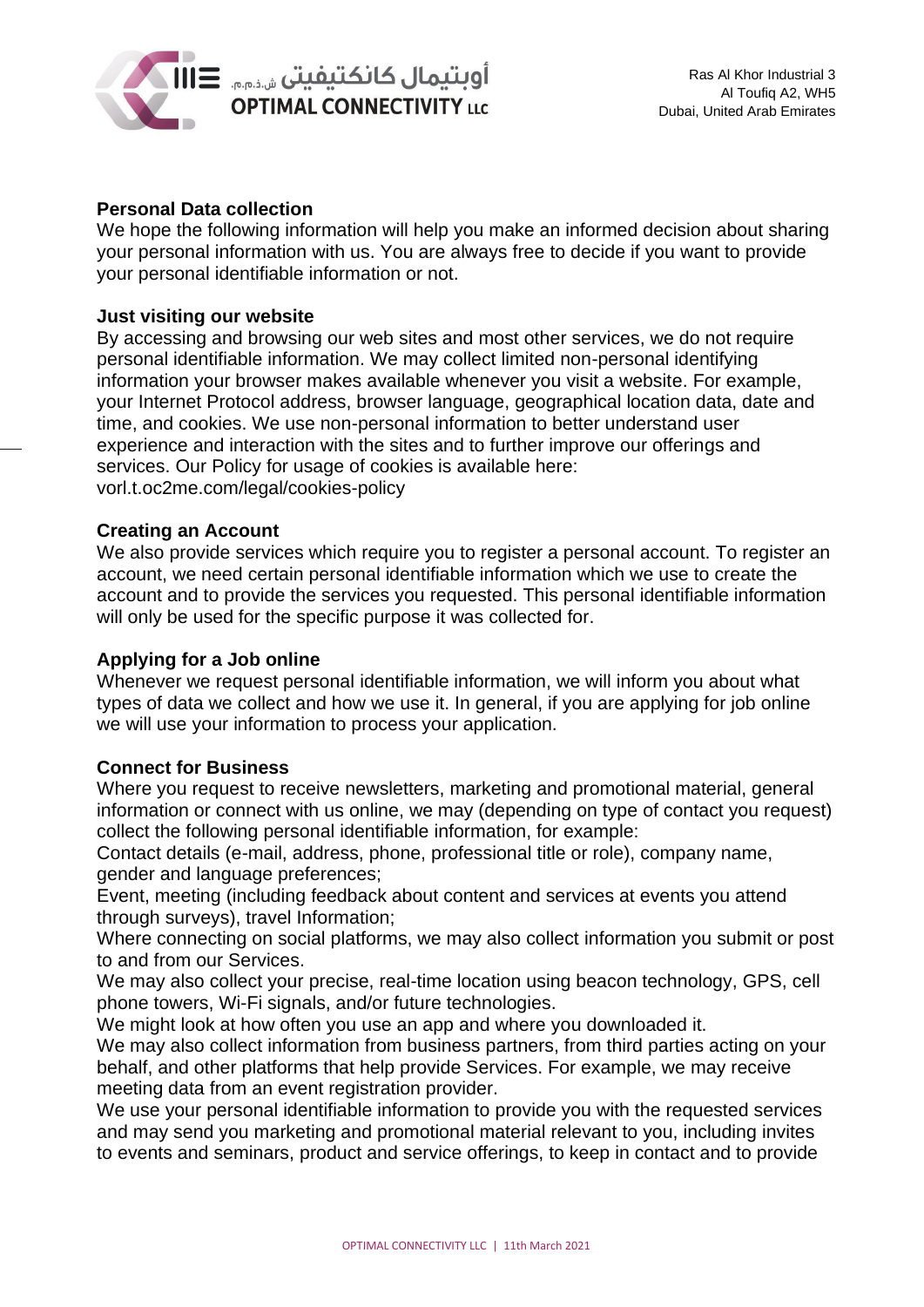

# **Personal Data collection**

We hope the following information will help you make an informed decision about sharing your personal information with us. You are always free to decide if you want to provide your personal identifiable information or not.

### **Just visiting our website**

By accessing and browsing our web sites and most other services, we do not require personal identifiable information. We may collect limited non-personal identifying information your browser makes available whenever you visit a website. For example, your Internet Protocol address, browser language, geographical location data, date and time, and cookies. We use non-personal information to better understand user experience and interaction with the sites and to further improve our offerings and services. Our Policy for usage of cookies is available here: vorl.t.oc2me.com/legal/cookies-policy

#### **Creating an Account**

We also provide services which require you to register a personal account. To register an account, we need certain personal identifiable information which we use to create the account and to provide the services you requested. This personal identifiable information will only be used for the specific purpose it was collected for.

#### **Applying for a Job online**

Whenever we request personal identifiable information, we will inform you about what types of data we collect and how we use it. In general, if you are applying for job online we will use your information to process your application.

#### **Connect for Business**

Where you request to receive newsletters, marketing and promotional material, general information or connect with us online, we may (depending on type of contact you request) collect the following personal identifiable information, for example:

Contact details (e-mail, address, phone, professional title or role), company name, gender and language preferences;

Event, meeting (including feedback about content and services at events you attend through surveys), travel Information;

Where connecting on social platforms, we may also collect information you submit or post to and from our Services.

We may also collect your precise, real-time location using beacon technology, GPS, cell phone towers, Wi-Fi signals, and/or future technologies.

We might look at how often you use an app and where you downloaded it.

We may also collect information from business partners, from third parties acting on your behalf, and other platforms that help provide Services. For example, we may receive meeting data from an event registration provider.

We use your personal identifiable information to provide you with the requested services and may send you marketing and promotional material relevant to you, including invites to events and seminars, product and service offerings, to keep in contact and to provide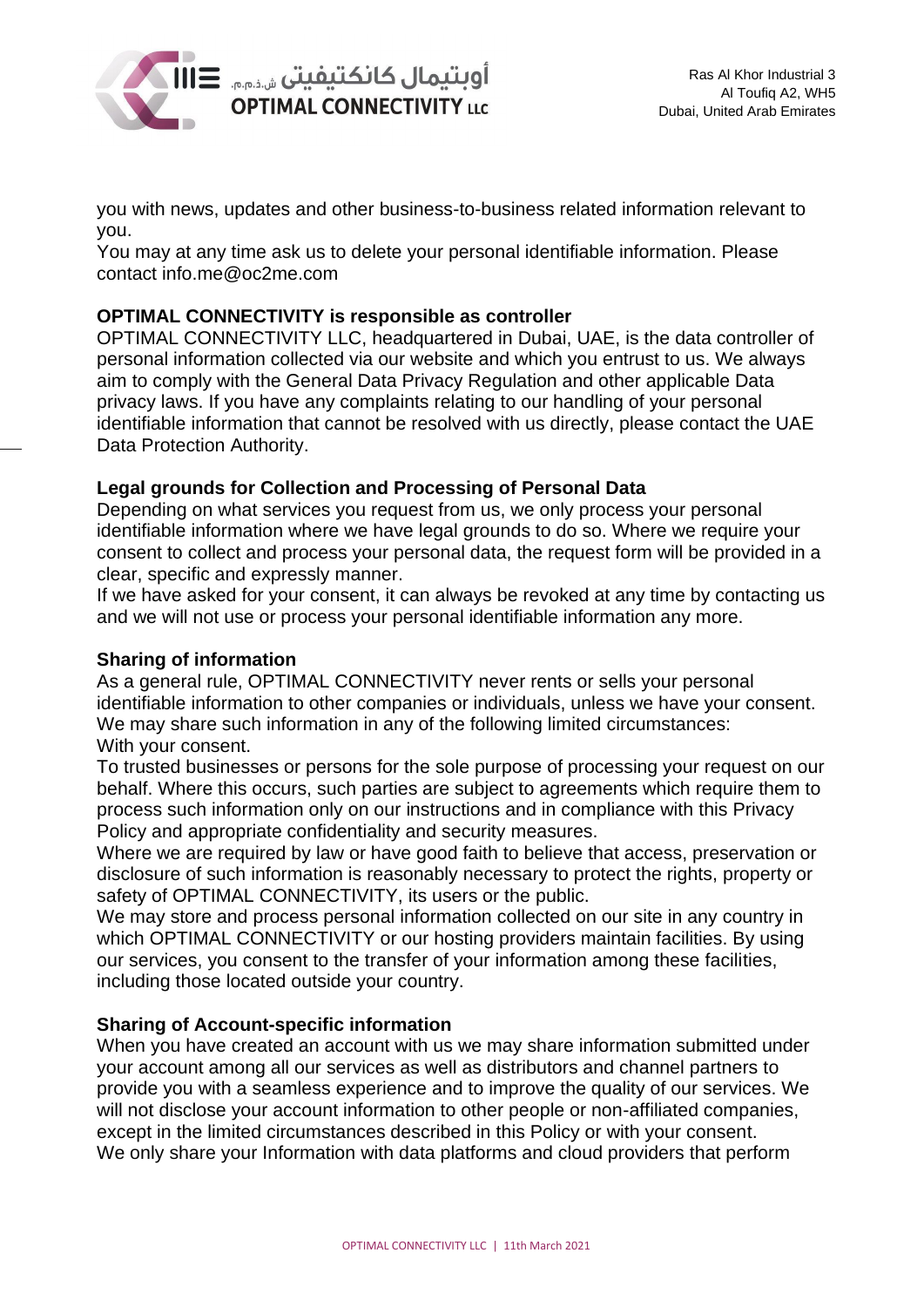

you with news, updates and other business-to-business related information relevant to you.

You may at any time ask us to delete your personal identifiable information. Please contact info.me@oc2me.com

# **OPTIMAL CONNECTIVITY is responsible as controller**

OPTIMAL CONNECTIVITY LLC, headquartered in Dubai, UAE, is the data controller of personal information collected via our website and which you entrust to us. We always aim to comply with the General Data Privacy Regulation and other applicable Data privacy laws. If you have any complaints relating to our handling of your personal identifiable information that cannot be resolved with us directly, please contact the UAE Data Protection Authority.

# **Legal grounds for Collection and Processing of Personal Data**

Depending on what services you request from us, we only process your personal identifiable information where we have legal grounds to do so. Where we require your consent to collect and process your personal data, the request form will be provided in a clear, specific and expressly manner.

If we have asked for your consent, it can always be revoked at any time by contacting us and we will not use or process your personal identifiable information any more.

### **Sharing of information**

As a general rule, OPTIMAL CONNECTIVITY never rents or sells your personal identifiable information to other companies or individuals, unless we have your consent. We may share such information in any of the following limited circumstances: With your consent.

To trusted businesses or persons for the sole purpose of processing your request on our behalf. Where this occurs, such parties are subject to agreements which require them to process such information only on our instructions and in compliance with this Privacy Policy and appropriate confidentiality and security measures.

Where we are required by law or have good faith to believe that access, preservation or disclosure of such information is reasonably necessary to protect the rights, property or safety of OPTIMAL CONNECTIVITY, its users or the public.

We may store and process personal information collected on our site in any country in which OPTIMAL CONNECTIVITY or our hosting providers maintain facilities. By using our services, you consent to the transfer of your information among these facilities, including those located outside your country.

# **Sharing of Account-specific information**

When you have created an account with us we may share information submitted under your account among all our services as well as distributors and channel partners to provide you with a seamless experience and to improve the quality of our services. We will not disclose your account information to other people or non-affiliated companies, except in the limited circumstances described in this Policy or with your consent. We only share your Information with data platforms and cloud providers that perform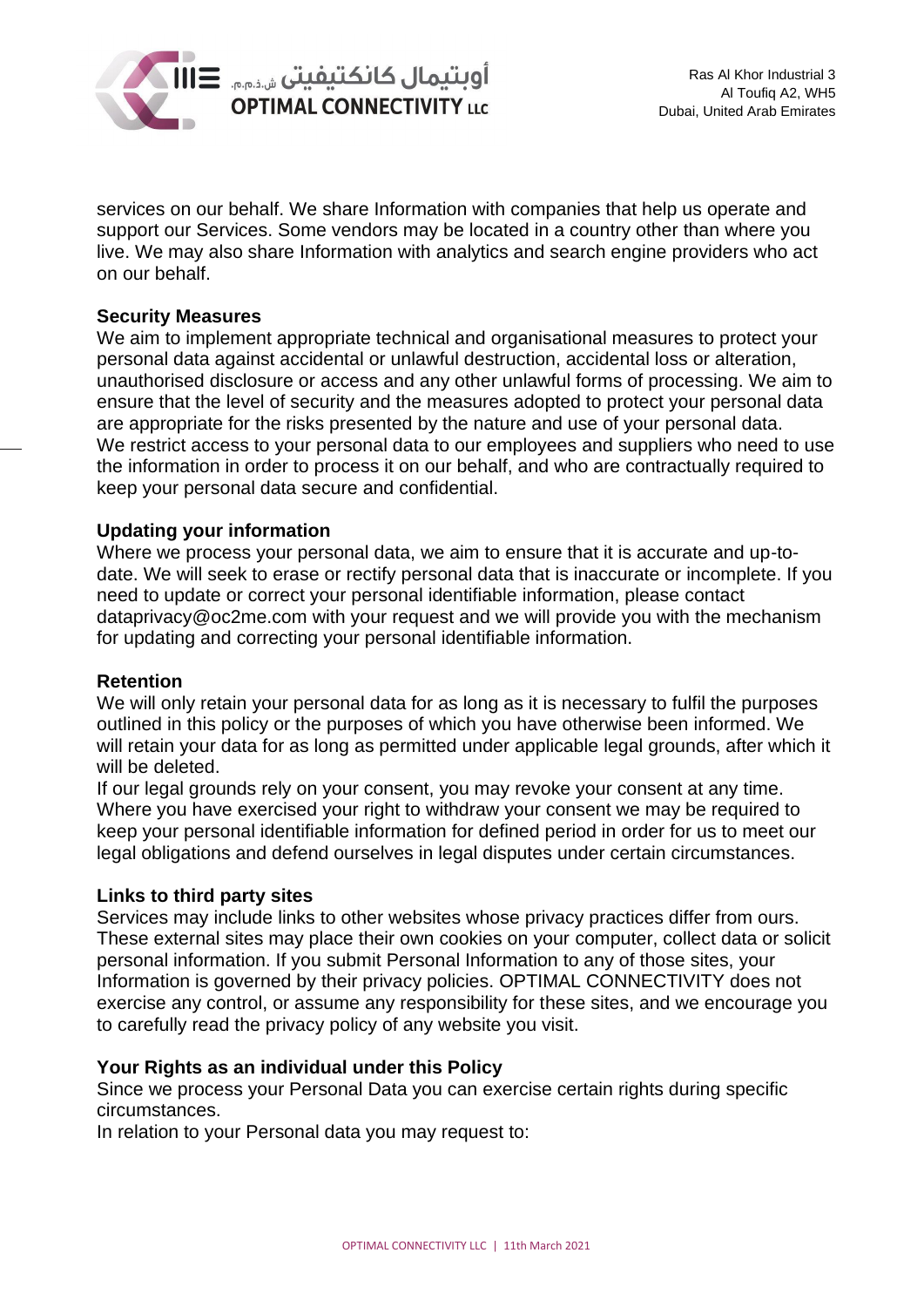

services on our behalf. We share Information with companies that help us operate and support our Services. Some vendors may be located in a country other than where you live. We may also share Information with analytics and search engine providers who act on our behalf.

#### **Security Measures**

We aim to implement appropriate technical and organisational measures to protect your personal data against accidental or unlawful destruction, accidental loss or alteration, unauthorised disclosure or access and any other unlawful forms of processing. We aim to ensure that the level of security and the measures adopted to protect your personal data are appropriate for the risks presented by the nature and use of your personal data. We restrict access to your personal data to our employees and suppliers who need to use the information in order to process it on our behalf, and who are contractually required to keep your personal data secure and confidential.

# **Updating your information**

Where we process your personal data, we aim to ensure that it is accurate and up-todate. We will seek to erase or rectify personal data that is inaccurate or incomplete. If you need to update or correct your personal identifiable information, please contact dataprivacy@oc2me.com with your request and we will provide you with the mechanism for updating and correcting your personal identifiable information.

#### **Retention**

We will only retain your personal data for as long as it is necessary to fulfil the purposes outlined in this policy or the purposes of which you have otherwise been informed. We will retain your data for as long as permitted under applicable legal grounds, after which it will be deleted.

If our legal grounds rely on your consent, you may revoke your consent at any time. Where you have exercised your right to withdraw your consent we may be required to keep your personal identifiable information for defined period in order for us to meet our legal obligations and defend ourselves in legal disputes under certain circumstances.

#### **Links to third party sites**

Services may include links to other websites whose privacy practices differ from ours. These external sites may place their own cookies on your computer, collect data or solicit personal information. If you submit Personal Information to any of those sites, your Information is governed by their privacy policies. OPTIMAL CONNECTIVITY does not exercise any control, or assume any responsibility for these sites, and we encourage you to carefully read the privacy policy of any website you visit.

#### **Your Rights as an individual under this Policy**

Since we process your Personal Data you can exercise certain rights during specific circumstances.

In relation to your Personal data you may request to: